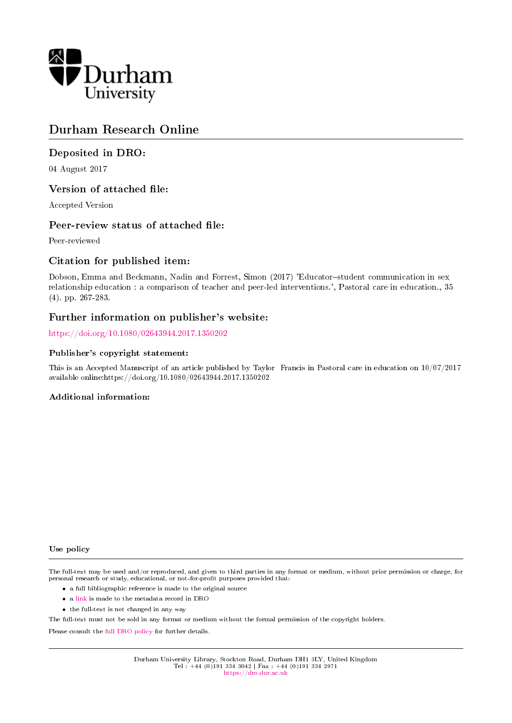

## Durham Research Online

## Deposited in DRO:

04 August 2017

## Version of attached file:

Accepted Version

## Peer-review status of attached file:

Peer-reviewed

## Citation for published item:

Dobson, Emma and Beckmann, Nadin and Forrest, Simon (2017) 'Educator-student communication in sex relationship education : a comparison of teacher and peer-led interventions.', Pastoral care in education., 35 (4). pp. 267-283.

## Further information on publisher's website:

<https://doi.org/10.1080/02643944.2017.1350202>

#### Publisher's copyright statement:

This is an Accepted Manuscript of an article published by Taylor Francis in Pastoral care in education on 10/07/2017 available online:https://doi.org/10.1080/02643944.2017.1350202

#### Additional information:

#### Use policy

The full-text may be used and/or reproduced, and given to third parties in any format or medium, without prior permission or charge, for personal research or study, educational, or not-for-profit purposes provided that:

- a full bibliographic reference is made to the original source
- a [link](http://dro.dur.ac.uk/22261/) is made to the metadata record in DRO
- the full-text is not changed in any way

The full-text must not be sold in any format or medium without the formal permission of the copyright holders.

Please consult the [full DRO policy](https://dro.dur.ac.uk/policies/usepolicy.pdf) for further details.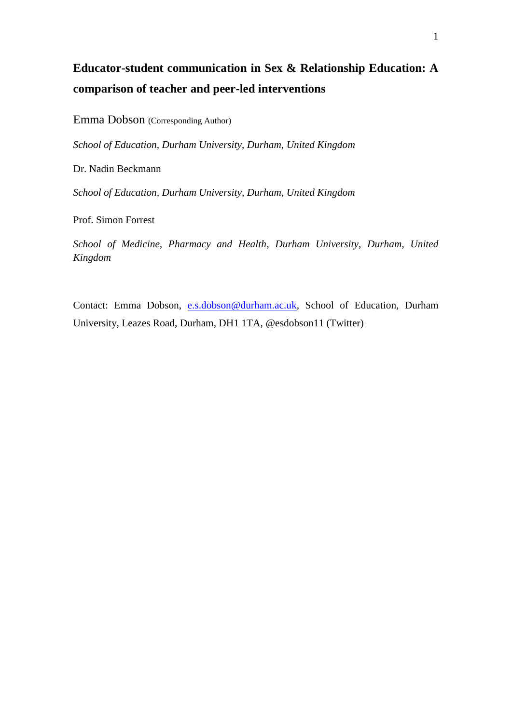# **Educator-student communication in Sex & Relationship Education: A comparison of teacher and peer-led interventions**

Emma Dobson (Corresponding Author)

*School of Education, Durham University, Durham, United Kingdom*

Dr. Nadin Beckmann

*School of Education, Durham University, Durham, United Kingdom*

Prof. Simon Forrest

*School of Medicine, Pharmacy and Health, Durham University, Durham, United Kingdom*

Contact: Emma Dobson, [e.s.dobson@durham.ac.uk,](mailto:e.s.dobson@durham.ac.uk) School of Education, Durham University, Leazes Road, Durham, DH1 1TA, @esdobson11 (Twitter)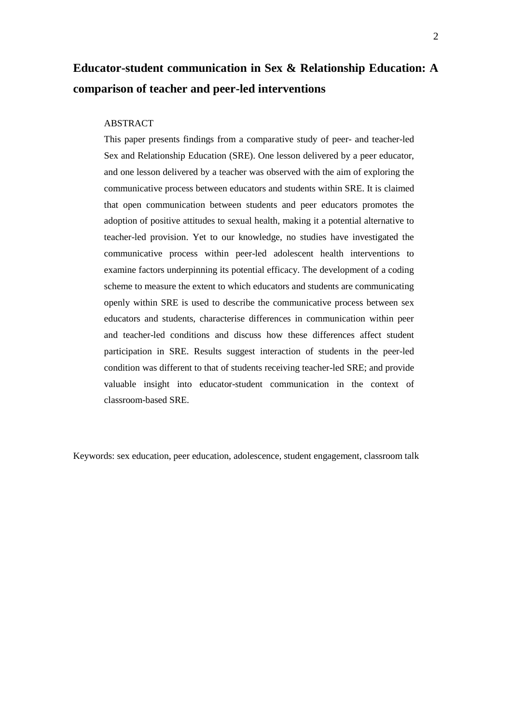## **Educator-student communication in Sex & Relationship Education: A comparison of teacher and peer-led interventions**

#### ABSTRACT

This paper presents findings from a comparative study of peer- and teacher-led Sex and Relationship Education (SRE). One lesson delivered by a peer educator, and one lesson delivered by a teacher was observed with the aim of exploring the communicative process between educators and students within SRE. It is claimed that open communication between students and peer educators promotes the adoption of positive attitudes to sexual health, making it a potential alternative to teacher-led provision. Yet to our knowledge, no studies have investigated the communicative process within peer-led adolescent health interventions to examine factors underpinning its potential efficacy. The development of a coding scheme to measure the extent to which educators and students are communicating openly within SRE is used to describe the communicative process between sex educators and students, characterise differences in communication within peer and teacher-led conditions and discuss how these differences affect student participation in SRE. Results suggest interaction of students in the peer-led condition was different to that of students receiving teacher-led SRE; and provide valuable insight into educator-student communication in the context of classroom-based SRE.

Keywords: sex education, peer education, adolescence, student engagement, classroom talk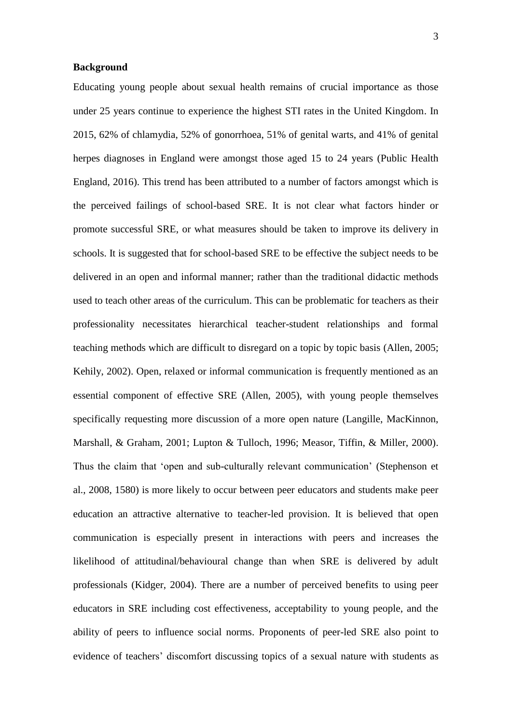#### **Background**

Educating young people about sexual health remains of crucial importance as those under 25 years continue to experience the highest STI rates in the United Kingdom. In 2015, 62% of chlamydia, 52% of gonorrhoea, 51% of genital warts, and 41% of genital herpes diagnoses in England were amongst those aged 15 to 24 years (Public Health England, 2016). This trend has been attributed to a number of factors amongst which is the perceived failings of school-based SRE. It is not clear what factors hinder or promote successful SRE, or what measures should be taken to improve its delivery in schools. It is suggested that for school-based SRE to be effective the subject needs to be delivered in an open and informal manner; rather than the traditional didactic methods used to teach other areas of the curriculum. This can be problematic for teachers as their professionality necessitates hierarchical teacher-student relationships and formal teaching methods which are difficult to disregard on a topic by topic basis (Allen, 2005; Kehily, 2002). Open, relaxed or informal communication is frequently mentioned as an essential component of effective SRE (Allen, 2005), with young people themselves specifically requesting more discussion of a more open nature (Langille, MacKinnon, Marshall, & Graham, 2001; Lupton & Tulloch, 1996; Measor, Tiffin, & Miller, 2000). Thus the claim that 'open and sub-culturally relevant communication' (Stephenson et al., 2008, 1580) is more likely to occur between peer educators and students make peer education an attractive alternative to teacher-led provision. It is believed that open communication is especially present in interactions with peers and increases the likelihood of attitudinal/behavioural change than when SRE is delivered by adult professionals (Kidger, 2004). There are a number of perceived benefits to using peer educators in SRE including cost effectiveness, acceptability to young people, and the ability of peers to influence social norms. Proponents of peer-led SRE also point to evidence of teachers' discomfort discussing topics of a sexual nature with students as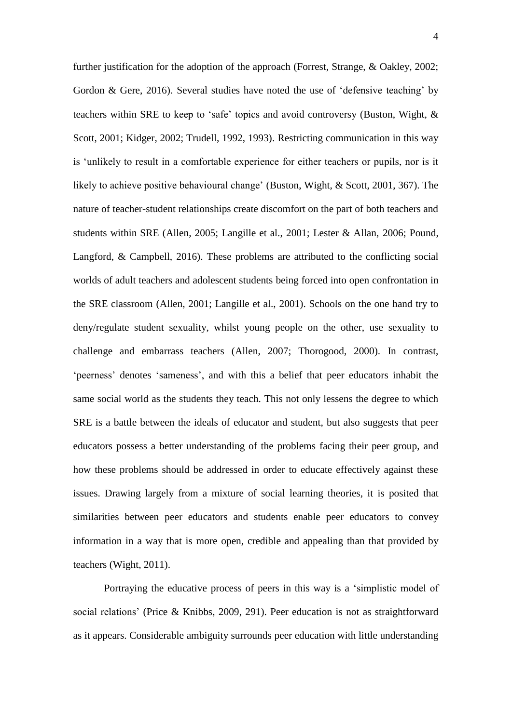further justification for the adoption of the approach (Forrest, Strange, & Oakley, 2002; Gordon & Gere, 2016). Several studies have noted the use of 'defensive teaching' by teachers within SRE to keep to 'safe' topics and avoid controversy (Buston, Wight, & Scott, 2001; Kidger, 2002; Trudell, 1992, 1993). Restricting communication in this way is 'unlikely to result in a comfortable experience for either teachers or pupils, nor is it likely to achieve positive behavioural change' (Buston, Wight, & Scott, 2001, 367). The nature of teacher-student relationships create discomfort on the part of both teachers and students within SRE (Allen, 2005; Langille et al., 2001; Lester & Allan, 2006; Pound, Langford, & Campbell, 2016). These problems are attributed to the conflicting social worlds of adult teachers and adolescent students being forced into open confrontation in the SRE classroom (Allen, 2001; Langille et al., 2001). Schools on the one hand try to deny/regulate student sexuality, whilst young people on the other, use sexuality to challenge and embarrass teachers (Allen, 2007; Thorogood, 2000). In contrast, 'peerness' denotes 'sameness', and with this a belief that peer educators inhabit the same social world as the students they teach. This not only lessens the degree to which SRE is a battle between the ideals of educator and student, but also suggests that peer educators possess a better understanding of the problems facing their peer group, and how these problems should be addressed in order to educate effectively against these issues. Drawing largely from a mixture of social learning theories, it is posited that similarities between peer educators and students enable peer educators to convey information in a way that is more open, credible and appealing than that provided by teachers (Wight, 2011).

Portraying the educative process of peers in this way is a 'simplistic model of social relations' (Price & Knibbs, 2009, 291). Peer education is not as straightforward as it appears. Considerable ambiguity surrounds peer education with little understanding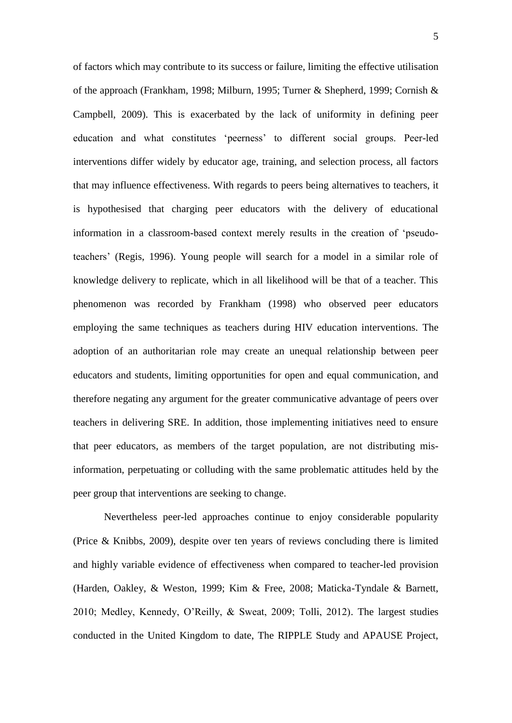of factors which may contribute to its success or failure, limiting the effective utilisation of the approach (Frankham, 1998; Milburn, 1995; Turner & Shepherd, 1999; Cornish & Campbell, 2009). This is exacerbated by the lack of uniformity in defining peer education and what constitutes 'peerness' to different social groups. Peer-led interventions differ widely by educator age, training, and selection process, all factors that may influence effectiveness. With regards to peers being alternatives to teachers, it is hypothesised that charging peer educators with the delivery of educational information in a classroom-based context merely results in the creation of 'pseudoteachers' (Regis, 1996). Young people will search for a model in a similar role of knowledge delivery to replicate, which in all likelihood will be that of a teacher. This phenomenon was recorded by Frankham (1998) who observed peer educators employing the same techniques as teachers during HIV education interventions. The adoption of an authoritarian role may create an unequal relationship between peer educators and students, limiting opportunities for open and equal communication, and therefore negating any argument for the greater communicative advantage of peers over teachers in delivering SRE. In addition, those implementing initiatives need to ensure that peer educators, as members of the target population, are not distributing misinformation, perpetuating or colluding with the same problematic attitudes held by the peer group that interventions are seeking to change.

Nevertheless peer-led approaches continue to enjoy considerable popularity (Price & Knibbs, 2009), despite over ten years of reviews concluding there is limited and highly variable evidence of effectiveness when compared to teacher-led provision (Harden, Oakley, & Weston, 1999; Kim & Free, 2008; Maticka-Tyndale & Barnett, 2010; Medley, Kennedy, O'Reilly, & Sweat, 2009; Tolli, 2012). The largest studies conducted in the United Kingdom to date, The RIPPLE Study and APAUSE Project,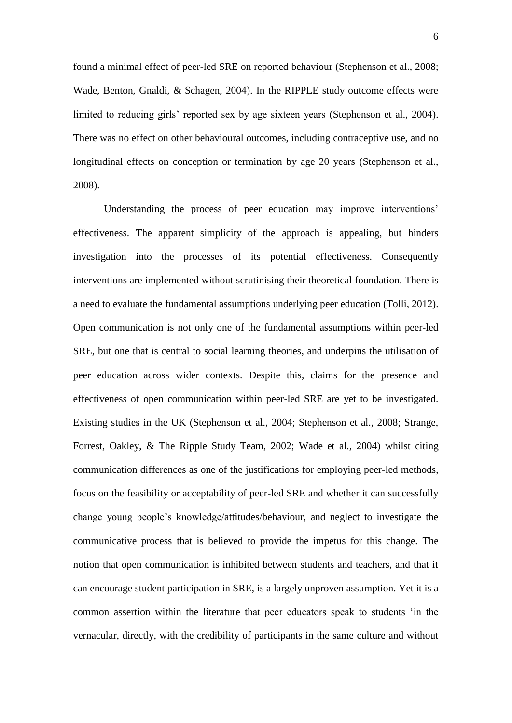found a minimal effect of peer-led SRE on reported behaviour (Stephenson et al., 2008; Wade, Benton, Gnaldi, & Schagen, 2004). In the RIPPLE study outcome effects were limited to reducing girls' reported sex by age sixteen years (Stephenson et al., 2004). There was no effect on other behavioural outcomes, including contraceptive use, and no longitudinal effects on conception or termination by age 20 years (Stephenson et al., 2008).

Understanding the process of peer education may improve interventions' effectiveness. The apparent simplicity of the approach is appealing, but hinders investigation into the processes of its potential effectiveness. Consequently interventions are implemented without scrutinising their theoretical foundation. There is a need to evaluate the fundamental assumptions underlying peer education (Tolli, 2012). Open communication is not only one of the fundamental assumptions within peer-led SRE, but one that is central to social learning theories, and underpins the utilisation of peer education across wider contexts. Despite this, claims for the presence and effectiveness of open communication within peer-led SRE are yet to be investigated. Existing studies in the UK (Stephenson et al., 2004; Stephenson et al., 2008; Strange, Forrest, Oakley, & The Ripple Study Team, 2002; Wade et al., 2004) whilst citing communication differences as one of the justifications for employing peer-led methods, focus on the feasibility or acceptability of peer-led SRE and whether it can successfully change young people's knowledge/attitudes/behaviour, and neglect to investigate the communicative process that is believed to provide the impetus for this change. The notion that open communication is inhibited between students and teachers, and that it can encourage student participation in SRE, is a largely unproven assumption. Yet it is a common assertion within the literature that peer educators speak to students 'in the vernacular, directly, with the credibility of participants in the same culture and without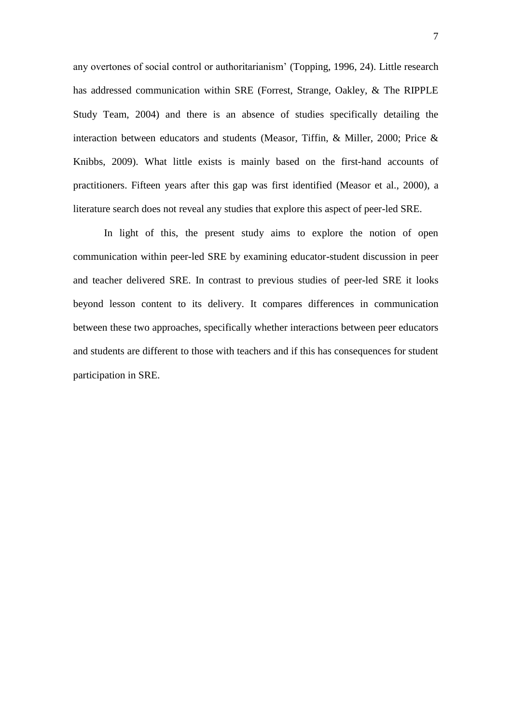any overtones of social control or authoritarianism' (Topping, 1996, 24). Little research has addressed communication within SRE (Forrest, Strange, Oakley, & The RIPPLE Study Team, 2004) and there is an absence of studies specifically detailing the interaction between educators and students (Measor, Tiffin, & Miller, 2000; Price & Knibbs, 2009). What little exists is mainly based on the first-hand accounts of practitioners. Fifteen years after this gap was first identified (Measor et al., 2000), a literature search does not reveal any studies that explore this aspect of peer-led SRE.

In light of this, the present study aims to explore the notion of open communication within peer-led SRE by examining educator-student discussion in peer and teacher delivered SRE. In contrast to previous studies of peer-led SRE it looks beyond lesson content to its delivery. It compares differences in communication between these two approaches, specifically whether interactions between peer educators and students are different to those with teachers and if this has consequences for student participation in SRE.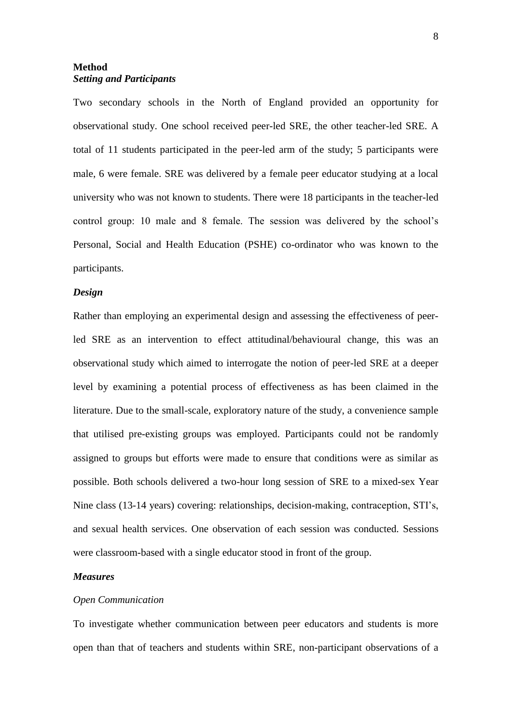## **Method** *Setting and Participants*

Two secondary schools in the North of England provided an opportunity for observational study. One school received peer-led SRE, the other teacher-led SRE. A total of 11 students participated in the peer-led arm of the study; 5 participants were male, 6 were female. SRE was delivered by a female peer educator studying at a local university who was not known to students. There were 18 participants in the teacher-led control group: 10 male and 8 female. The session was delivered by the school's Personal, Social and Health Education (PSHE) co-ordinator who was known to the participants.

### *Design*

Rather than employing an experimental design and assessing the effectiveness of peerled SRE as an intervention to effect attitudinal/behavioural change, this was an observational study which aimed to interrogate the notion of peer-led SRE at a deeper level by examining a potential process of effectiveness as has been claimed in the literature. Due to the small-scale, exploratory nature of the study, a convenience sample that utilised pre-existing groups was employed. Participants could not be randomly assigned to groups but efforts were made to ensure that conditions were as similar as possible. Both schools delivered a two-hour long session of SRE to a mixed-sex Year Nine class (13-14 years) covering: relationships, decision-making, contraception, STI's, and sexual health services. One observation of each session was conducted. Sessions were classroom-based with a single educator stood in front of the group.

### *Measures*

#### *Open Communication*

To investigate whether communication between peer educators and students is more open than that of teachers and students within SRE, non-participant observations of a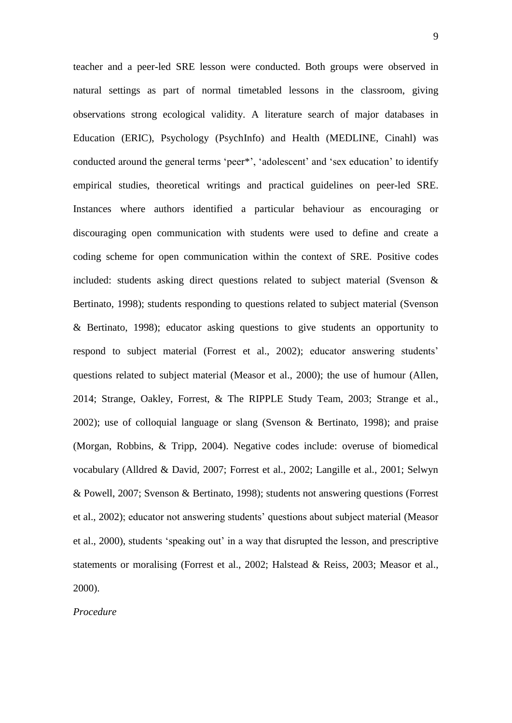teacher and a peer-led SRE lesson were conducted. Both groups were observed in natural settings as part of normal timetabled lessons in the classroom, giving observations strong ecological validity. A literature search of major databases in Education (ERIC), Psychology (PsychInfo) and Health (MEDLINE, Cinahl) was conducted around the general terms 'peer\*', 'adolescent' and 'sex education' to identify empirical studies, theoretical writings and practical guidelines on peer-led SRE. Instances where authors identified a particular behaviour as encouraging or discouraging open communication with students were used to define and create a coding scheme for open communication within the context of SRE. Positive codes included: students asking direct questions related to subject material (Svenson & Bertinato, 1998); students responding to questions related to subject material (Svenson & Bertinato, 1998); educator asking questions to give students an opportunity to respond to subject material (Forrest et al., 2002); educator answering students' questions related to subject material (Measor et al., 2000); the use of humour (Allen, 2014; Strange, Oakley, Forrest, & The RIPPLE Study Team, 2003; Strange et al., 2002); use of colloquial language or slang (Svenson & Bertinato, 1998); and praise (Morgan, Robbins, & Tripp, 2004). Negative codes include: overuse of biomedical vocabulary (Alldred & David, 2007; Forrest et al., 2002; Langille et al., 2001; Selwyn & Powell, 2007; Svenson & Bertinato, 1998); students not answering questions (Forrest et al., 2002); educator not answering students' questions about subject material (Measor et al., 2000), students 'speaking out' in a way that disrupted the lesson, and prescriptive statements or moralising (Forrest et al., 2002; Halstead & Reiss, 2003; Measor et al., 2000).

## *Procedure*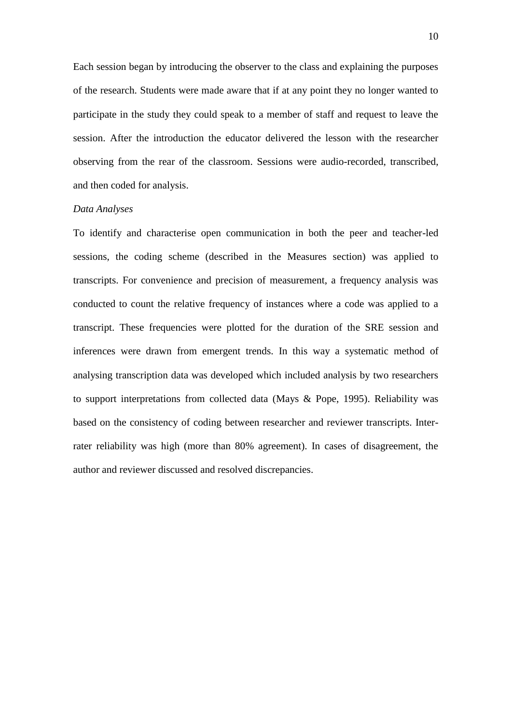Each session began by introducing the observer to the class and explaining the purposes of the research. Students were made aware that if at any point they no longer wanted to participate in the study they could speak to a member of staff and request to leave the session. After the introduction the educator delivered the lesson with the researcher observing from the rear of the classroom. Sessions were audio-recorded, transcribed, and then coded for analysis.

#### *Data Analyses*

To identify and characterise open communication in both the peer and teacher-led sessions, the coding scheme (described in the Measures section) was applied to transcripts. For convenience and precision of measurement, a frequency analysis was conducted to count the relative frequency of instances where a code was applied to a transcript. These frequencies were plotted for the duration of the SRE session and inferences were drawn from emergent trends. In this way a systematic method of analysing transcription data was developed which included analysis by two researchers to support interpretations from collected data (Mays & Pope, 1995). Reliability was based on the consistency of coding between researcher and reviewer transcripts. Interrater reliability was high (more than 80% agreement). In cases of disagreement, the author and reviewer discussed and resolved discrepancies.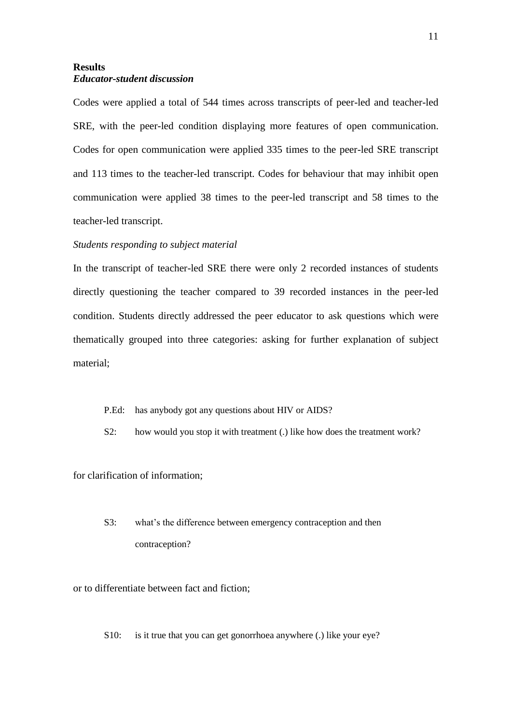## **Results** *Educator-student discussion*

Codes were applied a total of 544 times across transcripts of peer-led and teacher-led SRE, with the peer-led condition displaying more features of open communication. Codes for open communication were applied 335 times to the peer-led SRE transcript and 113 times to the teacher-led transcript. Codes for behaviour that may inhibit open communication were applied 38 times to the peer-led transcript and 58 times to the teacher-led transcript.

### *Students responding to subject material*

In the transcript of teacher-led SRE there were only 2 recorded instances of students directly questioning the teacher compared to 39 recorded instances in the peer-led condition. Students directly addressed the peer educator to ask questions which were thematically grouped into three categories: asking for further explanation of subject material;

- P.Ed: has anybody got any questions about HIV or AIDS?
- S2: how would you stop it with treatment (.) like how does the treatment work?

for clarification of information;

S3: what's the difference between emergency contraception and then contraception?

or to differentiate between fact and fiction;

S10: is it true that you can get gonorrhoea anywhere (.) like your eye?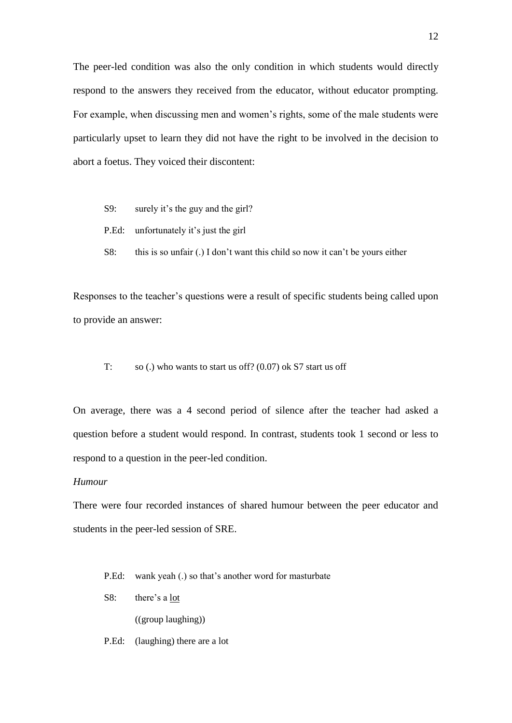The peer-led condition was also the only condition in which students would directly respond to the answers they received from the educator, without educator prompting. For example, when discussing men and women's rights, some of the male students were particularly upset to learn they did not have the right to be involved in the decision to abort a foetus. They voiced their discontent:

- S9: surely it's the guy and the girl?
- P.Ed: unfortunately it's just the girl
- S8: this is so unfair (.) I don't want this child so now it can't be yours either

Responses to the teacher's questions were a result of specific students being called upon to provide an answer:

T: so (.) who wants to start us off? (0.07) ok S7 start us off

On average, there was a 4 second period of silence after the teacher had asked a question before a student would respond. In contrast, students took 1 second or less to respond to a question in the peer-led condition.

### *Humour*

There were four recorded instances of shared humour between the peer educator and students in the peer-led session of SRE.

- P.Ed: wank yeah (.) so that's another word for masturbate
- S8: there's a lot

((group laughing))

P.Ed: (laughing) there are a lot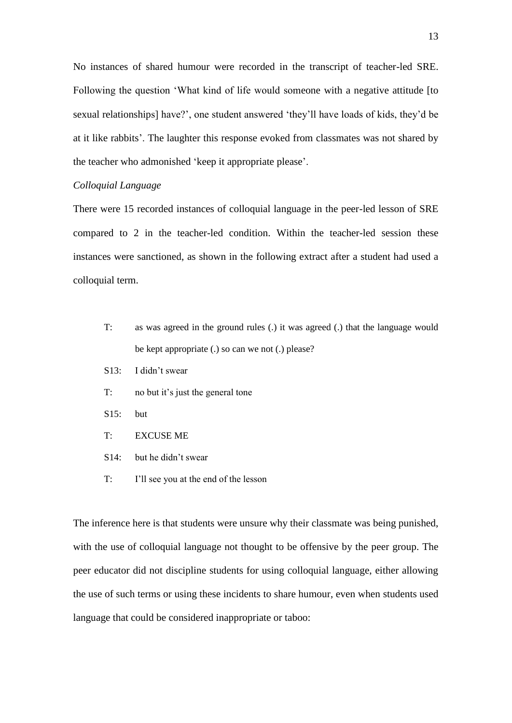No instances of shared humour were recorded in the transcript of teacher-led SRE. Following the question 'What kind of life would someone with a negative attitude [to sexual relationships] have?', one student answered 'they'll have loads of kids, they'd be at it like rabbits'. The laughter this response evoked from classmates was not shared by the teacher who admonished 'keep it appropriate please'.

## *Colloquial Language*

There were 15 recorded instances of colloquial language in the peer-led lesson of SRE compared to 2 in the teacher-led condition. Within the teacher-led session these instances were sanctioned, as shown in the following extract after a student had used a colloquial term.

- T: as was agreed in the ground rules (.) it was agreed (.) that the language would be kept appropriate (.) so can we not (.) please?
- S13: I didn't swear
- T: no but it's just the general tone
- S15: but
- T: EXCUSE ME
- S14: but he didn't swear
- T: I'll see you at the end of the lesson

The inference here is that students were unsure why their classmate was being punished, with the use of colloquial language not thought to be offensive by the peer group. The peer educator did not discipline students for using colloquial language, either allowing the use of such terms or using these incidents to share humour, even when students used language that could be considered inappropriate or taboo: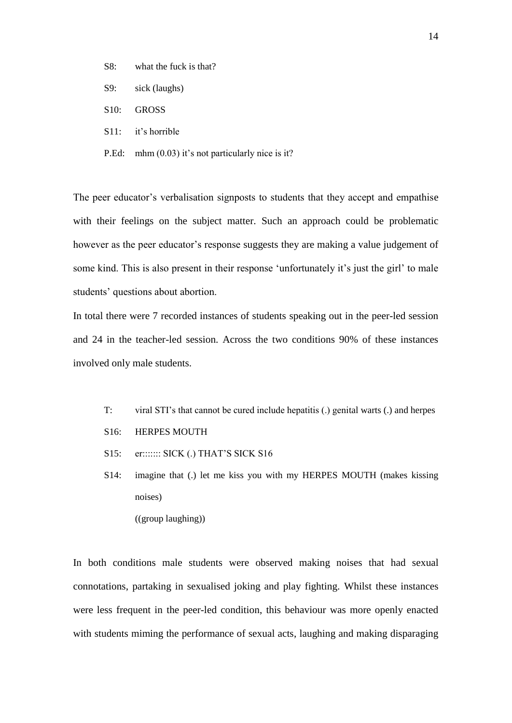- S8: what the fuck is that?
- S9: sick (laughs)
- S10: GROSS
- S11: it's horrible
- P.Ed: mhm (0.03) it's not particularly nice is it?

The peer educator's verbalisation signposts to students that they accept and empathise with their feelings on the subject matter. Such an approach could be problematic however as the peer educator's response suggests they are making a value judgement of some kind. This is also present in their response 'unfortunately it's just the girl' to male students' questions about abortion.

In total there were 7 recorded instances of students speaking out in the peer-led session and 24 in the teacher-led session. Across the two conditions 90% of these instances involved only male students.

- T: viral STI's that cannot be cured include hepatitis (.) genital warts (.) and herpes
- S16: HERPES MOUTH
- S15: er::::::: SICK (.) THAT'S SICK S16
- S14: imagine that (.) let me kiss you with my HERPES MOUTH (makes kissing noises)

((group laughing))

In both conditions male students were observed making noises that had sexual connotations, partaking in sexualised joking and play fighting. Whilst these instances were less frequent in the peer-led condition, this behaviour was more openly enacted with students miming the performance of sexual acts, laughing and making disparaging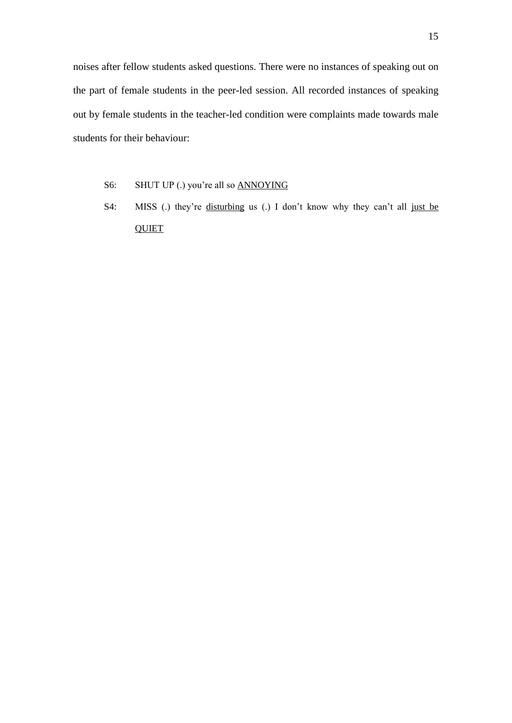noises after fellow students asked questions. There were no instances of speaking out on the part of female students in the peer-led session. All recorded instances of speaking out by female students in the teacher-led condition were complaints made towards male students for their behaviour:

- S6: SHUT UP (.) you're all so ANNOYING
- S4: MISS (.) they're disturbing us (.) I don't know why they can't all just be **QUIET**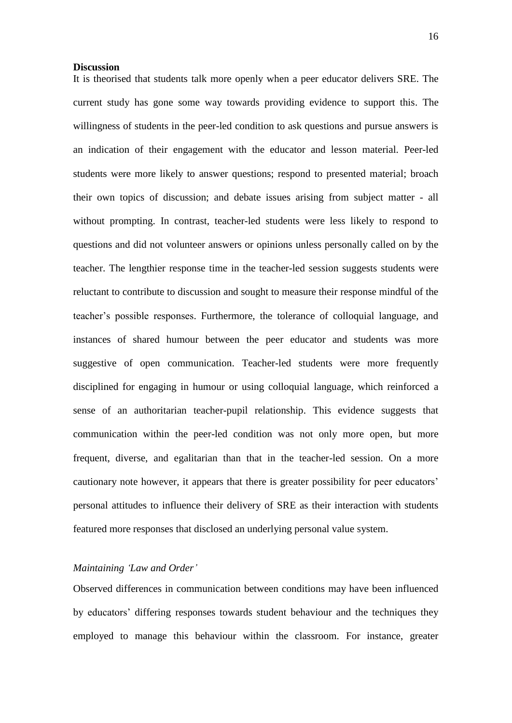#### **Discussion**

It is theorised that students talk more openly when a peer educator delivers SRE. The current study has gone some way towards providing evidence to support this. The willingness of students in the peer-led condition to ask questions and pursue answers is an indication of their engagement with the educator and lesson material. Peer-led students were more likely to answer questions; respond to presented material; broach their own topics of discussion; and debate issues arising from subject matter - all without prompting. In contrast, teacher-led students were less likely to respond to questions and did not volunteer answers or opinions unless personally called on by the teacher. The lengthier response time in the teacher-led session suggests students were reluctant to contribute to discussion and sought to measure their response mindful of the teacher's possible responses. Furthermore, the tolerance of colloquial language, and instances of shared humour between the peer educator and students was more suggestive of open communication. Teacher-led students were more frequently disciplined for engaging in humour or using colloquial language, which reinforced a sense of an authoritarian teacher-pupil relationship. This evidence suggests that communication within the peer-led condition was not only more open, but more frequent, diverse, and egalitarian than that in the teacher-led session. On a more cautionary note however, it appears that there is greater possibility for peer educators' personal attitudes to influence their delivery of SRE as their interaction with students featured more responses that disclosed an underlying personal value system.

## *Maintaining 'Law and Order'*

Observed differences in communication between conditions may have been influenced by educators' differing responses towards student behaviour and the techniques they employed to manage this behaviour within the classroom. For instance, greater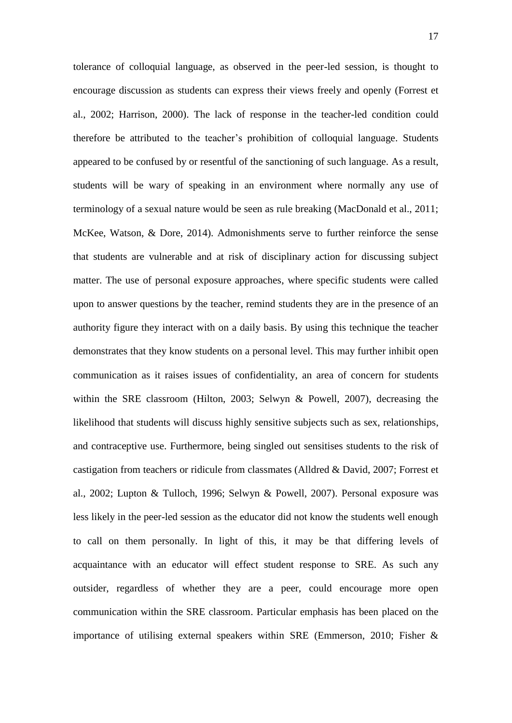tolerance of colloquial language, as observed in the peer-led session, is thought to encourage discussion as students can express their views freely and openly (Forrest et al., 2002; Harrison, 2000). The lack of response in the teacher-led condition could therefore be attributed to the teacher's prohibition of colloquial language. Students appeared to be confused by or resentful of the sanctioning of such language. As a result, students will be wary of speaking in an environment where normally any use of terminology of a sexual nature would be seen as rule breaking (MacDonald et al., 2011; McKee, Watson, & Dore, 2014). Admonishments serve to further reinforce the sense that students are vulnerable and at risk of disciplinary action for discussing subject matter. The use of personal exposure approaches, where specific students were called upon to answer questions by the teacher, remind students they are in the presence of an authority figure they interact with on a daily basis. By using this technique the teacher demonstrates that they know students on a personal level. This may further inhibit open communication as it raises issues of confidentiality, an area of concern for students within the SRE classroom (Hilton, 2003; Selwyn & Powell, 2007), decreasing the likelihood that students will discuss highly sensitive subjects such as sex, relationships, and contraceptive use. Furthermore, being singled out sensitises students to the risk of castigation from teachers or ridicule from classmates (Alldred & David, 2007; Forrest et al., 2002; Lupton & Tulloch, 1996; Selwyn & Powell, 2007). Personal exposure was less likely in the peer-led session as the educator did not know the students well enough to call on them personally. In light of this, it may be that differing levels of acquaintance with an educator will effect student response to SRE. As such any outsider, regardless of whether they are a peer, could encourage more open communication within the SRE classroom. Particular emphasis has been placed on the importance of utilising external speakers within SRE (Emmerson, 2010; Fisher &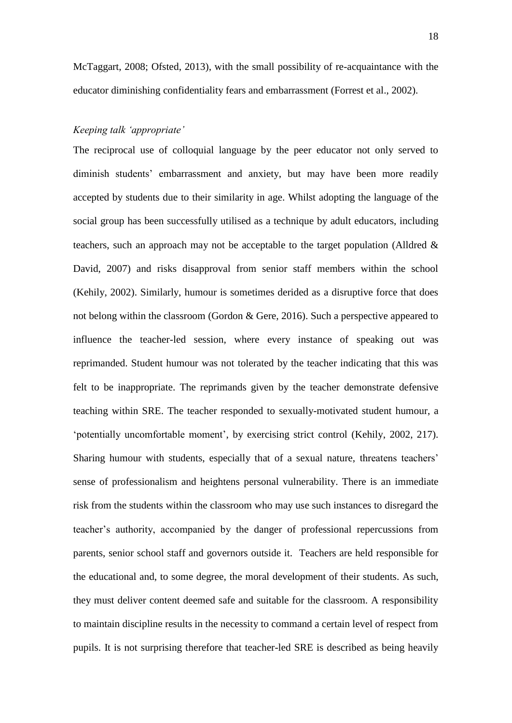McTaggart, 2008; Ofsted, 2013), with the small possibility of re-acquaintance with the educator diminishing confidentiality fears and embarrassment (Forrest et al., 2002).

## *Keeping talk 'appropriate'*

The reciprocal use of colloquial language by the peer educator not only served to diminish students' embarrassment and anxiety, but may have been more readily accepted by students due to their similarity in age. Whilst adopting the language of the social group has been successfully utilised as a technique by adult educators, including teachers, such an approach may not be acceptable to the target population (Alldred  $\&$ David, 2007) and risks disapproval from senior staff members within the school (Kehily, 2002). Similarly, humour is sometimes derided as a disruptive force that does not belong within the classroom (Gordon & Gere, 2016). Such a perspective appeared to influence the teacher-led session, where every instance of speaking out was reprimanded. Student humour was not tolerated by the teacher indicating that this was felt to be inappropriate. The reprimands given by the teacher demonstrate defensive teaching within SRE. The teacher responded to sexually-motivated student humour, a 'potentially uncomfortable moment', by exercising strict control (Kehily, 2002, 217). Sharing humour with students, especially that of a sexual nature, threatens teachers' sense of professionalism and heightens personal vulnerability. There is an immediate risk from the students within the classroom who may use such instances to disregard the teacher's authority, accompanied by the danger of professional repercussions from parents, senior school staff and governors outside it. Teachers are held responsible for the educational and, to some degree, the moral development of their students. As such, they must deliver content deemed safe and suitable for the classroom. A responsibility to maintain discipline results in the necessity to command a certain level of respect from pupils. It is not surprising therefore that teacher-led SRE is described as being heavily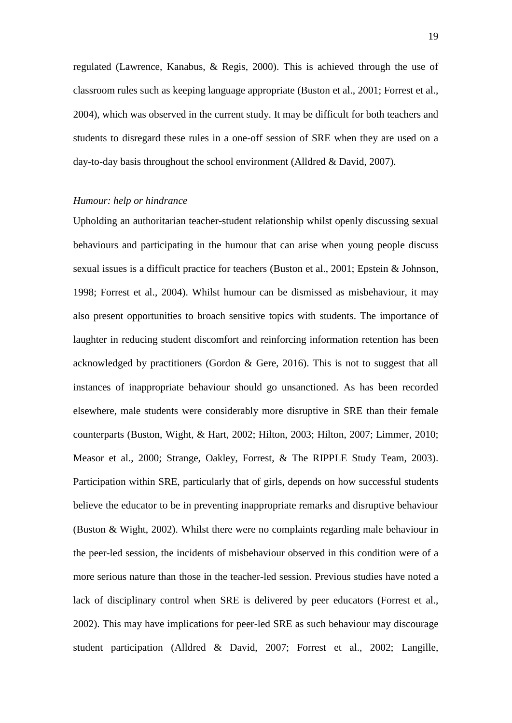regulated (Lawrence, Kanabus, & Regis, 2000). This is achieved through the use of classroom rules such as keeping language appropriate (Buston et al., 2001; Forrest et al., 2004), which was observed in the current study. It may be difficult for both teachers and students to disregard these rules in a one-off session of SRE when they are used on a day-to-day basis throughout the school environment (Alldred & David, 2007).

#### *Humour: help or hindrance*

Upholding an authoritarian teacher-student relationship whilst openly discussing sexual behaviours and participating in the humour that can arise when young people discuss sexual issues is a difficult practice for teachers (Buston et al., 2001; Epstein & Johnson, 1998; Forrest et al., 2004). Whilst humour can be dismissed as misbehaviour, it may also present opportunities to broach sensitive topics with students. The importance of laughter in reducing student discomfort and reinforcing information retention has been acknowledged by practitioners (Gordon & Gere, 2016). This is not to suggest that all instances of inappropriate behaviour should go unsanctioned. As has been recorded elsewhere, male students were considerably more disruptive in SRE than their female counterparts (Buston, Wight, & Hart, 2002; Hilton, 2003; Hilton, 2007; Limmer, 2010; Measor et al., 2000; Strange, Oakley, Forrest, & The RIPPLE Study Team, 2003). Participation within SRE, particularly that of girls, depends on how successful students believe the educator to be in preventing inappropriate remarks and disruptive behaviour (Buston & Wight, 2002). Whilst there were no complaints regarding male behaviour in the peer-led session, the incidents of misbehaviour observed in this condition were of a more serious nature than those in the teacher-led session. Previous studies have noted a lack of disciplinary control when SRE is delivered by peer educators (Forrest et al., 2002). This may have implications for peer-led SRE as such behaviour may discourage student participation (Alldred & David, 2007; Forrest et al., 2002; Langille,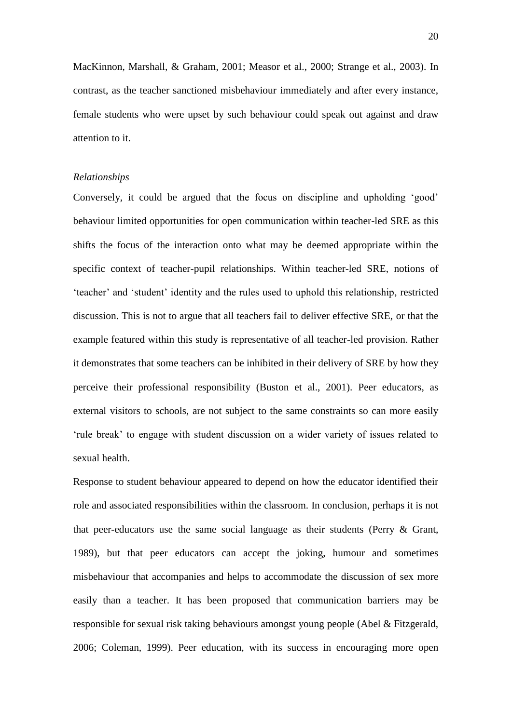MacKinnon, Marshall, & Graham, 2001; Measor et al., 2000; Strange et al., 2003). In contrast, as the teacher sanctioned misbehaviour immediately and after every instance, female students who were upset by such behaviour could speak out against and draw attention to it.

#### *Relationships*

Conversely, it could be argued that the focus on discipline and upholding 'good' behaviour limited opportunities for open communication within teacher-led SRE as this shifts the focus of the interaction onto what may be deemed appropriate within the specific context of teacher-pupil relationships. Within teacher-led SRE, notions of 'teacher' and 'student' identity and the rules used to uphold this relationship, restricted discussion. This is not to argue that all teachers fail to deliver effective SRE, or that the example featured within this study is representative of all teacher-led provision. Rather it demonstrates that some teachers can be inhibited in their delivery of SRE by how they perceive their professional responsibility (Buston et al., 2001). Peer educators, as external visitors to schools, are not subject to the same constraints so can more easily 'rule break' to engage with student discussion on a wider variety of issues related to sexual health.

Response to student behaviour appeared to depend on how the educator identified their role and associated responsibilities within the classroom. In conclusion, perhaps it is not that peer-educators use the same social language as their students (Perry & Grant, 1989), but that peer educators can accept the joking, humour and sometimes misbehaviour that accompanies and helps to accommodate the discussion of sex more easily than a teacher. It has been proposed that communication barriers may be responsible for sexual risk taking behaviours amongst young people (Abel & Fitzgerald, 2006; Coleman, 1999). Peer education, with its success in encouraging more open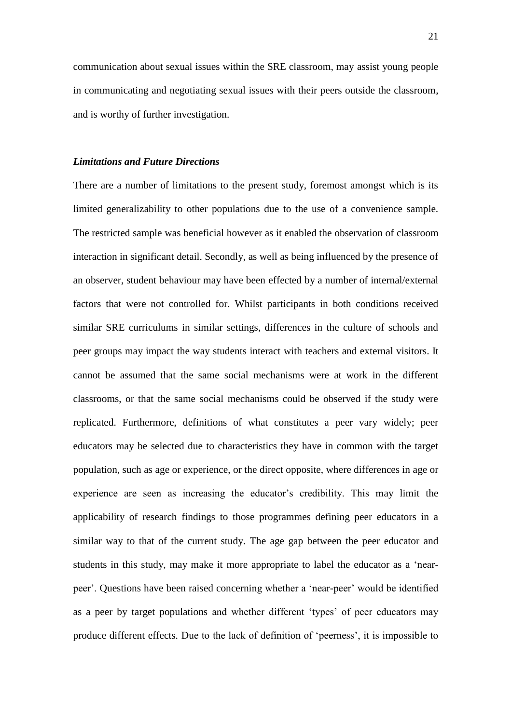communication about sexual issues within the SRE classroom, may assist young people in communicating and negotiating sexual issues with their peers outside the classroom, and is worthy of further investigation.

#### *Limitations and Future Directions*

There are a number of limitations to the present study, foremost amongst which is its limited generalizability to other populations due to the use of a convenience sample. The restricted sample was beneficial however as it enabled the observation of classroom interaction in significant detail. Secondly, as well as being influenced by the presence of an observer, student behaviour may have been effected by a number of internal/external factors that were not controlled for. Whilst participants in both conditions received similar SRE curriculums in similar settings, differences in the culture of schools and peer groups may impact the way students interact with teachers and external visitors. It cannot be assumed that the same social mechanisms were at work in the different classrooms, or that the same social mechanisms could be observed if the study were replicated. Furthermore, definitions of what constitutes a peer vary widely; peer educators may be selected due to characteristics they have in common with the target population, such as age or experience, or the direct opposite, where differences in age or experience are seen as increasing the educator's credibility. This may limit the applicability of research findings to those programmes defining peer educators in a similar way to that of the current study. The age gap between the peer educator and students in this study, may make it more appropriate to label the educator as a 'nearpeer'. Questions have been raised concerning whether a 'near-peer' would be identified as a peer by target populations and whether different 'types' of peer educators may produce different effects. Due to the lack of definition of 'peerness', it is impossible to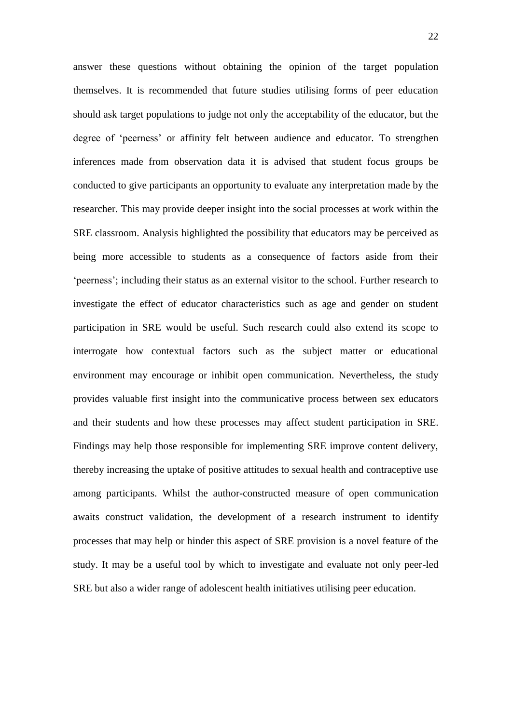answer these questions without obtaining the opinion of the target population themselves. It is recommended that future studies utilising forms of peer education should ask target populations to judge not only the acceptability of the educator, but the degree of 'peerness' or affinity felt between audience and educator. To strengthen inferences made from observation data it is advised that student focus groups be conducted to give participants an opportunity to evaluate any interpretation made by the researcher. This may provide deeper insight into the social processes at work within the SRE classroom. Analysis highlighted the possibility that educators may be perceived as being more accessible to students as a consequence of factors aside from their 'peerness'; including their status as an external visitor to the school. Further research to investigate the effect of educator characteristics such as age and gender on student participation in SRE would be useful. Such research could also extend its scope to interrogate how contextual factors such as the subject matter or educational environment may encourage or inhibit open communication. Nevertheless, the study provides valuable first insight into the communicative process between sex educators and their students and how these processes may affect student participation in SRE. Findings may help those responsible for implementing SRE improve content delivery, thereby increasing the uptake of positive attitudes to sexual health and contraceptive use among participants. Whilst the author-constructed measure of open communication awaits construct validation, the development of a research instrument to identify processes that may help or hinder this aspect of SRE provision is a novel feature of the study. It may be a useful tool by which to investigate and evaluate not only peer-led SRE but also a wider range of adolescent health initiatives utilising peer education.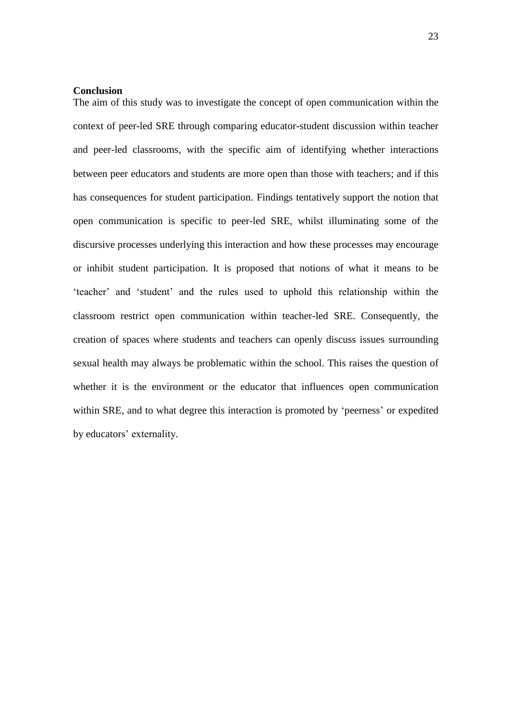### **Conclusion**

The aim of this study was to investigate the concept of open communication within the context of peer-led SRE through comparing educator-student discussion within teacher and peer-led classrooms, with the specific aim of identifying whether interactions between peer educators and students are more open than those with teachers; and if this has consequences for student participation. Findings tentatively support the notion that open communication is specific to peer-led SRE, whilst illuminating some of the discursive processes underlying this interaction and how these processes may encourage or inhibit student participation. It is proposed that notions of what it means to be 'teacher' and 'student' and the rules used to uphold this relationship within the classroom restrict open communication within teacher-led SRE. Consequently, the creation of spaces where students and teachers can openly discuss issues surrounding sexual health may always be problematic within the school. This raises the question of whether it is the environment or the educator that influences open communication within SRE, and to what degree this interaction is promoted by 'peerness' or expedited by educators' externality.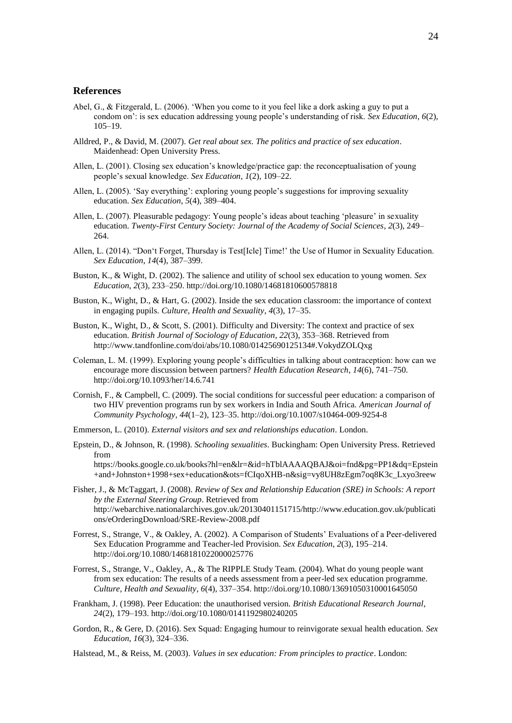#### **References**

- Abel, G., & Fitzgerald, L. (2006). 'When you come to it you feel like a dork asking a guy to put a condom on': is sex education addressing young people's understanding of risk. *Sex Education*, *6*(2), 105–19.
- Alldred, P., & David, M. (2007). *Get real about sex. The politics and practice of sex education*. Maidenhead: Open University Press.
- Allen, L. (2001). Closing sex education's knowledge/practice gap: the reconceptualisation of young people's sexual knowledge. *Sex Education*, *1*(2), 109–22.
- Allen, L. (2005). 'Say everything': exploring young people's suggestions for improving sexuality education. *Sex Education*, *5*(4), 389–404.
- Allen, L. (2007). Pleasurable pedagogy: Young people's ideas about teaching 'pleasure' in sexuality education. *Twenty-First Century Society: Journal of the Academy of Social Sciences*, *2*(3), 249– 264.
- Allen, L. (2014). "Don't Forget, Thursday is Test[Icle] Time!' the Use of Humor in Sexuality Education. *Sex Education*, *14*(4), 387–399.
- Buston, K., & Wight, D. (2002). The salience and utility of school sex education to young women. *Sex Education*, *2*(3), 233–250. http://doi.org/10.1080/14681810600578818
- Buston, K., Wight, D., & Hart, G. (2002). Inside the sex education classroom: the importance of context in engaging pupils. *Culture, Health and Sexuality*, *4*(3), 17–35.
- Buston, K., Wight, D., & Scott, S. (2001). Difficulty and Diversity: The context and practice of sex education. *British Journal of Sociology of Education*, *22*(3), 353–368. Retrieved from http://www.tandfonline.com/doi/abs/10.1080/01425690125134#.VokydZOLQxg
- Coleman, L. M. (1999). Exploring young people's difficulties in talking about contraception: how can we encourage more discussion between partners? *Health Education Research*, *14*(6), 741–750. http://doi.org/10.1093/her/14.6.741
- Cornish, F., & Campbell, C. (2009). The social conditions for successful peer education: a comparison of two HIV prevention programs run by sex workers in India and South Africa. *American Journal of Community Psychology*, *44*(1–2), 123–35. http://doi.org/10.1007/s10464-009-9254-8
- Emmerson, L. (2010). *External visitors and sex and relationships education*. London.
- Epstein, D., & Johnson, R. (1998). *Schooling sexualities*. Buckingham: Open University Press. Retrieved from https://books.google.co.uk/books?hl=en&lr=&id=hTblAAAAQBAJ&oi=fnd&pg=PP1&dq=Epstein +and+Johnston+1998+sex+education&ots=fCIqoXHB-n&sig=vy8UH8zEgm7oq8K3c\_Lxyo3reew
- Fisher, J., & McTaggart, J. (2008). *Review of Sex and Relationship Education (SRE) in Schools: A report by the External Steering Group*. Retrieved from http://webarchive.nationalarchives.gov.uk/20130401151715/http://www.education.gov.uk/publicati ons/eOrderingDownload/SRE-Review-2008.pdf
- Forrest, S., Strange, V., & Oakley, A. (2002). A Comparison of Students' Evaluations of a Peer-delivered Sex Education Programme and Teacher-led Provision. *Sex Education*, *2*(3), 195–214. http://doi.org/10.1080/1468181022000025776
- Forrest, S., Strange, V., Oakley, A., & The RIPPLE Study Team. (2004). What do young people want from sex education: The results of a needs assessment from a peer-led sex education programme. *Culture, Health and Sexuality*, *6*(4), 337–354. http://doi.org/10.1080/13691050310001645050
- Frankham, J. (1998). Peer Education: the unauthorised version. *British Educational Research Journal*, *24*(2), 179–193. http://doi.org/10.1080/0141192980240205
- Gordon, R., & Gere, D. (2016). Sex Squad: Engaging humour to reinvigorate sexual health education. *Sex Education*, *16*(3), 324–336.

Halstead, M., & Reiss, M. (2003). *Values in sex education: From principles to practice*. London: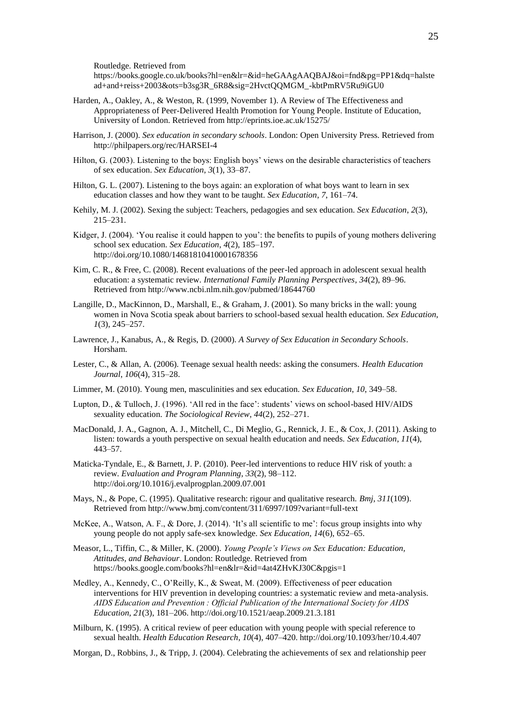Routledge. Retrieved from

https://books.google.co.uk/books?hl=en&lr=&id=heGAAgAAQBAJ&oi=fnd&pg=PP1&dq=halste ad+and+reiss+2003&ots=b3sg3R\_6R8&sig=2HvctQQMGM\_-kbtPmRV5Ru9iGU0

- Harden, A., Oakley, A., & Weston, R. (1999, November 1). A Review of The Effectiveness and Appropriateness of Peer-Delivered Health Promotion for Young People. Institute of Education, University of London. Retrieved from http://eprints.ioe.ac.uk/15275/
- Harrison, J. (2000). *Sex education in secondary schools*. London: Open University Press. Retrieved from http://philpapers.org/rec/HARSEI-4
- Hilton, G. (2003). Listening to the boys: English boys' views on the desirable characteristics of teachers of sex education. *Sex Education*, *3*(1), 33–87.
- Hilton, G. L. (2007). Listening to the boys again: an exploration of what boys want to learn in sex education classes and how they want to be taught. *Sex Education*, *7*, 161–74.
- Kehily, M. J. (2002). Sexing the subject: Teachers, pedagogies and sex education. *Sex Education*, *2*(3), 215–231.
- Kidger, J. (2004). 'You realise it could happen to you': the benefits to pupils of young mothers delivering school sex education. *Sex Education*, *4*(2), 185–197. http://doi.org/10.1080/14681810410001678356
- Kim, C. R., & Free, C. (2008). Recent evaluations of the peer-led approach in adolescent sexual health education: a systematic review. *International Family Planning Perspectives*, *34*(2), 89–96. Retrieved from http://www.ncbi.nlm.nih.gov/pubmed/18644760
- Langille, D., MacKinnon, D., Marshall, E., & Graham, J. (2001). So many bricks in the wall: young women in Nova Scotia speak about barriers to school-based sexual health education. *Sex Education*, *1*(3), 245–257.
- Lawrence, J., Kanabus, A., & Regis, D. (2000). *A Survey of Sex Education in Secondary Schools*. Horsham.
- Lester, C., & Allan, A. (2006). Teenage sexual health needs: asking the consumers. *Health Education Journal*, *106*(4), 315–28.
- Limmer, M. (2010). Young men, masculinities and sex education. *Sex Education*, *10*, 349–58.
- Lupton, D., & Tulloch, J. (1996). 'All red in the face': students' views on school-based HIV/AIDS sexuality education. *The Sociological Review*, *44*(2), 252–271.
- MacDonald, J. A., Gagnon, A. J., Mitchell, C., Di Meglio, G., Rennick, J. E., & Cox, J. (2011). Asking to listen: towards a youth perspective on sexual health education and needs. *Sex Education*, *11*(4), 443–57.
- Maticka-Tyndale, E., & Barnett, J. P. (2010). Peer-led interventions to reduce HIV risk of youth: a review. *Evaluation and Program Planning*, *33*(2), 98–112. http://doi.org/10.1016/j.evalprogplan.2009.07.001
- Mays, N., & Pope, C. (1995). Qualitative research: rigour and qualitative research. *Bmj*, *311*(109). Retrieved from http://www.bmj.com/content/311/6997/109?variant=full-text
- McKee, A., Watson, A. F., & Dore, J. (2014). 'It's all scientific to me': focus group insights into why young people do not apply safe-sex knowledge. *Sex Education*, *14*(6), 652–65.
- Measor, L., Tiffin, C., & Miller, K. (2000). *Young People's Views on Sex Education: Education, Attitudes, and Behaviour*. London: Routledge. Retrieved from https://books.google.com/books?hl=en&lr=&id=4at4ZHvKJ30C&pgis=1
- Medley, A., Kennedy, C., O'Reilly, K., & Sweat, M. (2009). Effectiveness of peer education interventions for HIV prevention in developing countries: a systematic review and meta-analysis. *AIDS Education and Prevention : Official Publication of the International Society for AIDS Education*, *21*(3), 181–206. http://doi.org/10.1521/aeap.2009.21.3.181
- Milburn, K. (1995). A critical review of peer education with young people with special reference to sexual health. *Health Education Research*, *10*(4), 407–420. http://doi.org/10.1093/her/10.4.407
- Morgan, D., Robbins, J., & Tripp, J. (2004). Celebrating the achievements of sex and relationship peer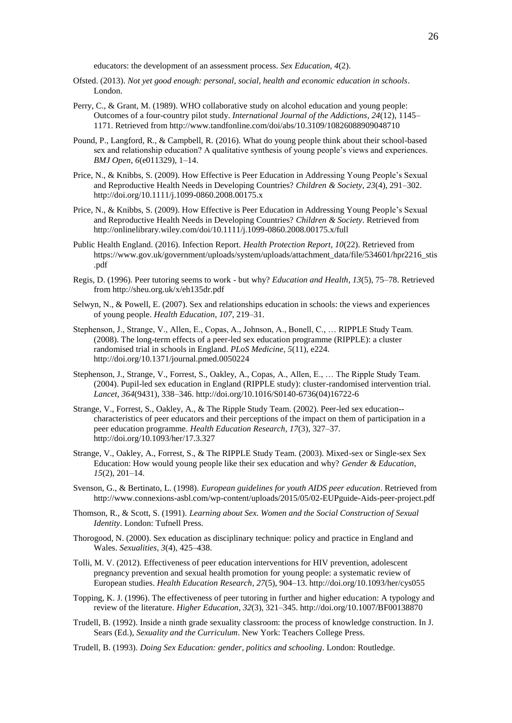educators: the development of an assessment process. *Sex Education*, *4*(2).

- Ofsted. (2013). *Not yet good enough: personal, social, health and economic education in schools*. London.
- Perry, C., & Grant, M. (1989). WHO collaborative study on alcohol education and young people: Outcomes of a four-country pilot study. *International Journal of the Addictions*, *24*(12), 1145– 1171. Retrieved from http://www.tandfonline.com/doi/abs/10.3109/10826088909048710
- Pound, P., Langford, R., & Campbell, R. (2016). What do young people think about their school-based sex and relationship education? A qualitative synthesis of young people's views and experiences. *BMJ Open*, *6*(e011329), 1–14.
- Price, N., & Knibbs, S. (2009). How Effective is Peer Education in Addressing Young People's Sexual and Reproductive Health Needs in Developing Countries? *Children & Society*, *23*(4), 291–302. http://doi.org/10.1111/j.1099-0860.2008.00175.x
- Price, N., & Knibbs, S. (2009). How Effective is Peer Education in Addressing Young People's Sexual and Reproductive Health Needs in Developing Countries? *Children & Society*. Retrieved from http://onlinelibrary.wiley.com/doi/10.1111/j.1099-0860.2008.00175.x/full
- Public Health England. (2016). Infection Report. *Health Protection Report*, *10*(22). Retrieved from https://www.gov.uk/government/uploads/system/uploads/attachment\_data/file/534601/hpr2216\_stis .pdf
- Regis, D. (1996). Peer tutoring seems to work but why? *Education and Health*, *13*(5), 75–78. Retrieved from http://sheu.org.uk/x/eh135dr.pdf
- Selwyn, N., & Powell, E. (2007). Sex and relationships education in schools: the views and experiences of young people. *Health Education*, *107*, 219–31.
- Stephenson, J., Strange, V., Allen, E., Copas, A., Johnson, A., Bonell, C., … RIPPLE Study Team. (2008). The long-term effects of a peer-led sex education programme (RIPPLE): a cluster randomised trial in schools in England. *PLoS Medicine*, *5*(11), e224. http://doi.org/10.1371/journal.pmed.0050224
- Stephenson, J., Strange, V., Forrest, S., Oakley, A., Copas, A., Allen, E., … The Ripple Study Team. (2004). Pupil-led sex education in England (RIPPLE study): cluster-randomised intervention trial. *Lancet*, *364*(9431), 338–346. http://doi.org/10.1016/S0140-6736(04)16722-6
- Strange, V., Forrest, S., Oakley, A., & The Ripple Study Team. (2002). Peer-led sex education- characteristics of peer educators and their perceptions of the impact on them of participation in a peer education programme. *Health Education Research*, *17*(3), 327–37. http://doi.org/10.1093/her/17.3.327
- Strange, V., Oakley, A., Forrest, S., & The RIPPLE Study Team. (2003). Mixed-sex or Single-sex Sex Education: How would young people like their sex education and why? *Gender & Education*, *15*(2), 201–14.
- Svenson, G., & Bertinato, L. (1998). *European guidelines for youth AIDS peer education*. Retrieved from http://www.connexions-asbl.com/wp-content/uploads/2015/05/02-EUPguide-Aids-peer-project.pdf
- Thomson, R., & Scott, S. (1991). *Learning about Sex. Women and the Social Construction of Sexual Identity*. London: Tufnell Press.
- Thorogood, N. (2000). Sex education as disciplinary technique: policy and practice in England and Wales. *Sexualities*, *3*(4), 425–438.
- Tolli, M. V. (2012). Effectiveness of peer education interventions for HIV prevention, adolescent pregnancy prevention and sexual health promotion for young people: a systematic review of European studies. *Health Education Research*, *27*(5), 904–13. http://doi.org/10.1093/her/cys055
- Topping, K. J. (1996). The effectiveness of peer tutoring in further and higher education: A typology and review of the literature. *Higher Education*, *32*(3), 321–345. http://doi.org/10.1007/BF00138870
- Trudell, B. (1992). Inside a ninth grade sexuality classroom: the process of knowledge construction. In J. Sears (Ed.), *Sexuality and the Curriculum*. New York: Teachers College Press.
- Trudell, B. (1993). *Doing Sex Education: gender, politics and schooling*. London: Routledge.